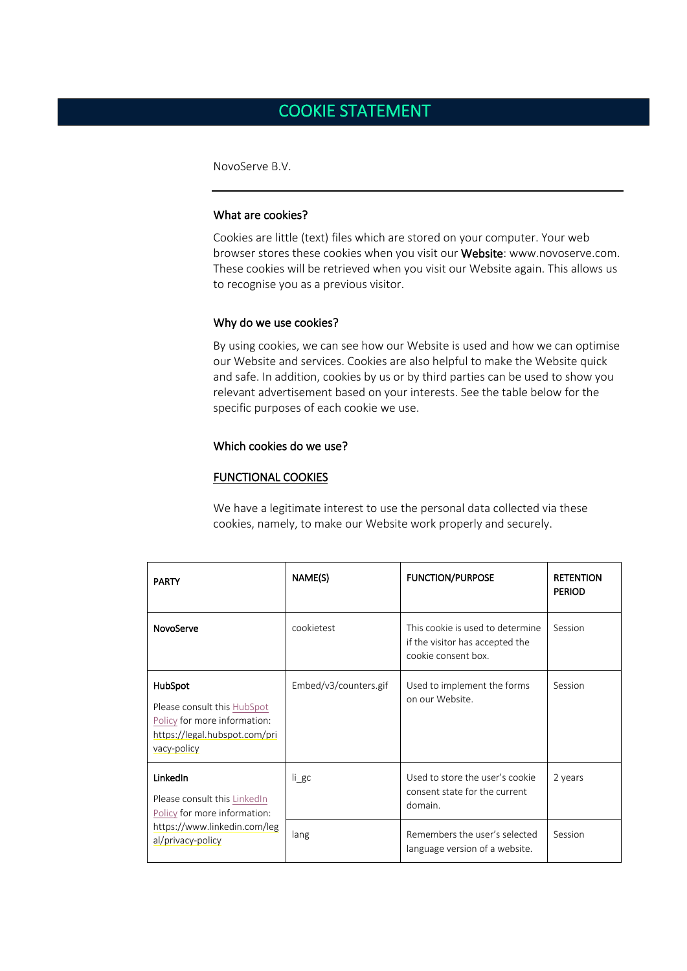# COOKIE STATEMENT

NovoServe B.V.

## What are cookies?

Cookies are little (text) files which are stored on your computer. Your web browser stores these cookies when you visit our Website: www.novoserve.com. These cookies will be retrieved when you visit our Website again. This allows us to recognise you as a previous visitor.

#### Why do we use cookies?

By using cookies, we can see how our Website is used and how we can optimise our Website and services. Cookies are also helpful to make the Website quick and safe. In addition, cookies by us or by third parties can be used to show you relevant advertisement based on your interests. See the table below for the specific purposes of each cookie we use.

## Which cookies do we use?

#### FUNCTIONAL COOKIES

We have a legitimate interest to use the personal data collected via these cookies, namely, to make our Website work properly and securely.

|  | <b>PARTY</b>                                                                                                                  | NAME(S)               | <b>FUNCTION/PURPOSE</b>                                                                    | <b>RETENTION</b><br><b>PERIOD</b> |
|--|-------------------------------------------------------------------------------------------------------------------------------|-----------------------|--------------------------------------------------------------------------------------------|-----------------------------------|
|  | NovoServe                                                                                                                     | cookietest            | This cookie is used to determine<br>if the visitor has accepted the<br>cookie consent box. | Session                           |
|  | HubSpot<br>Please consult this HubSpot<br>Policy for more information:<br>https://legal.hubspot.com/pri<br>vacy-policy        | Embed/v3/counters.gif | Used to implement the forms<br>on our Website.                                             | Session                           |
|  | LinkedIn<br>Please consult this LinkedIn<br>Policy for more information:<br>https://www.linkedin.com/leg<br>al/privacy-policy | $li$ gc               | Used to store the user's cookie<br>consent state for the current<br>domain.                | 2 years                           |
|  |                                                                                                                               | lang                  | Remembers the user's selected<br>language version of a website.                            | Session                           |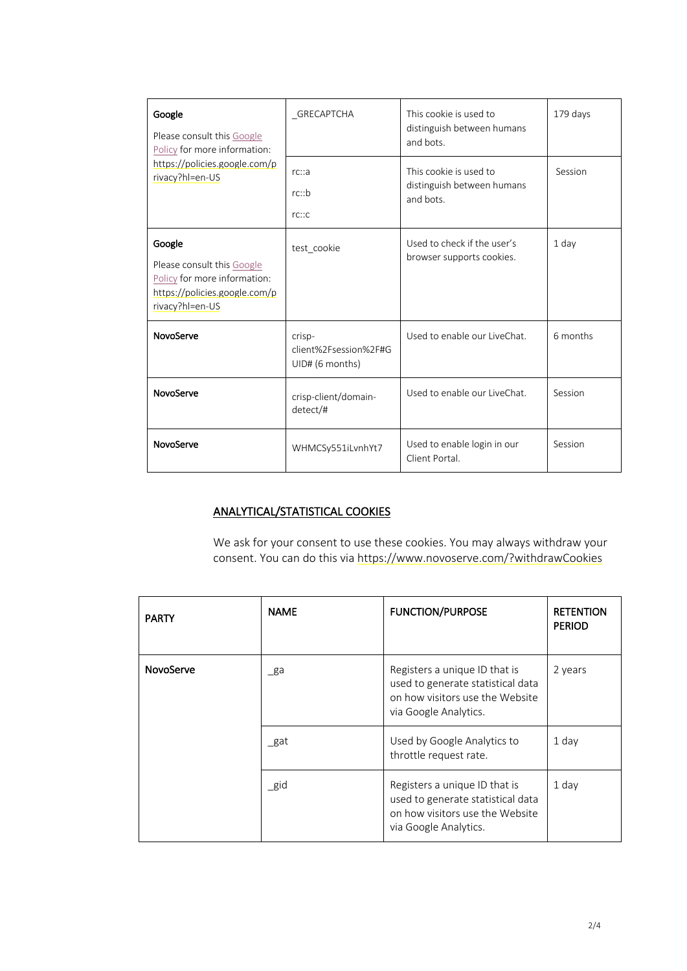| Google<br>Please consult this Google<br>Policy for more information:                                                     | GRECAPTCHA                                         | This cookie is used to<br>distinguish between humans<br>and bots. | 179 days |
|--------------------------------------------------------------------------------------------------------------------------|----------------------------------------------------|-------------------------------------------------------------------|----------|
| https://policies.google.com/p<br>rivacy?hl=en-US                                                                         | rc::a<br>rc::b<br>rc::c                            | This cookie is used to<br>distinguish between humans<br>and bots. | Session  |
| Google<br>Please consult this Google<br>Policy for more information:<br>https://policies.google.com/p<br>rivacy?hl=en-US | test_cookie                                        | Used to check if the user's<br>browser supports cookies.          | $1$ day  |
| NovoServe                                                                                                                | crisp-<br>client%2Fsession%2F#G<br>UID# (6 months) | Used to enable our LiveChat.                                      | 6 months |
| NovoServe                                                                                                                | crisp-client/domain-<br>detect/#                   | Used to enable our LiveChat.                                      | Session  |
| NovoServe                                                                                                                | WHMCSy551iLvnhYt7                                  | Used to enable login in our<br>Client Portal.                     | Session  |

## ANALYTICAL/STATISTICAL COOKIES

We ask for your consent to use these cookies. You may always withdraw your consent. You can do this via https://www.novoserve.com/?withdrawCookies

| <b>PARTY</b> | <b>NAME</b> | <b>FUNCTION/PURPOSE</b>                                                                                                        | <b>RETENTION</b><br><b>PERIOD</b> |
|--------------|-------------|--------------------------------------------------------------------------------------------------------------------------------|-----------------------------------|
| NovoServe    | ga          | Registers a unique ID that is<br>used to generate statistical data<br>on how visitors use the Website<br>via Google Analytics. | 2 years                           |
|              | gat         | Used by Google Analytics to<br>throttle request rate.                                                                          | 1 day                             |
|              | $\_$ gid    | Registers a unique ID that is<br>used to generate statistical data<br>on how visitors use the Website<br>via Google Analytics. | 1 day                             |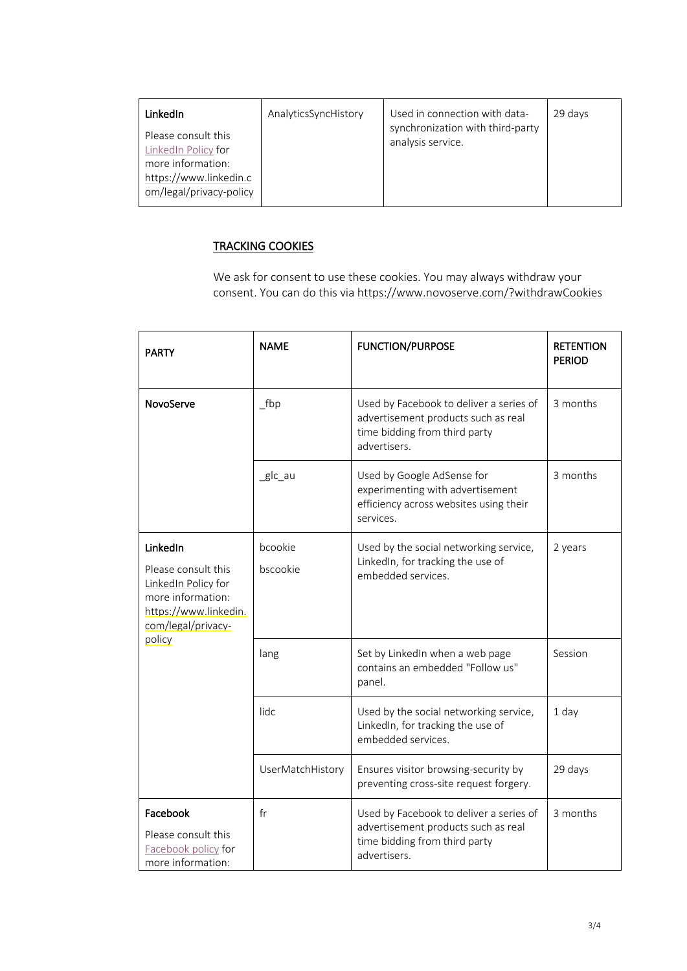| <b>LinkedIn</b>                                                                                                      | AnalyticsSyncHistory | Used in connection with data-                         | 29 days |
|----------------------------------------------------------------------------------------------------------------------|----------------------|-------------------------------------------------------|---------|
| Please consult this<br>LinkedIn Policy for<br>more information:<br>https://www.linkedin.c<br>om/legal/privacy-policy |                      | synchronization with third-party<br>analysis service. |         |

## TRACKING COOKIES

We ask for consent to use these cookies. You may always withdraw your consent. You can do this via https://www.novoserve.com/?withdrawCookies

| <b>PARTY</b>                                                                                                                         | <b>NAME</b>         | <b>FUNCTION/PURPOSE</b>                                                                                                         | <b>RETENTION</b><br><b>PERIOD</b> |
|--------------------------------------------------------------------------------------------------------------------------------------|---------------------|---------------------------------------------------------------------------------------------------------------------------------|-----------------------------------|
| NovoServe                                                                                                                            | fbp                 | Used by Facebook to deliver a series of<br>advertisement products such as real<br>time bidding from third party<br>advertisers. | 3 months                          |
|                                                                                                                                      | _glc_au             | Used by Google AdSense for<br>experimenting with advertisement<br>efficiency across websites using their<br>services.           | 3 months                          |
| LinkedIn<br>Please consult this<br>LinkedIn Policy for<br>more information:<br>https://www.linkedin.<br>com/legal/privacy-<br>policy | bcookie<br>bscookie | Used by the social networking service,<br>LinkedIn, for tracking the use of<br>embedded services.                               | 2 years                           |
|                                                                                                                                      | lang                | Set by LinkedIn when a web page<br>contains an embedded "Follow us"<br>panel.                                                   | Session                           |
|                                                                                                                                      | lidc                | Used by the social networking service,<br>LinkedIn, for tracking the use of<br>embedded services.                               | 1 day                             |
|                                                                                                                                      | UserMatchHistory    | Ensures visitor browsing-security by<br>preventing cross-site request forgery.                                                  | 29 days                           |
| Facebook<br>Please consult this<br>Facebook policy for<br>more information:                                                          | fr                  | Used by Facebook to deliver a series of<br>advertisement products such as real<br>time bidding from third party<br>advertisers. | 3 months                          |